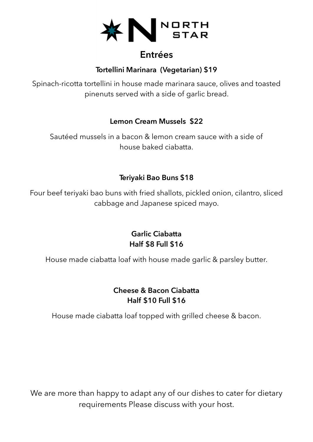

# **Entrées**

### **Tortellini Marinara (Vegetarian) \$19**

Spinach-ricotta tortellini in house made marinara sauce, olives and toasted pinenuts served with a side of garlic bread.

#### **Lemon Cream Mussels \$22**

Sautéed mussels in a bacon & lemon cream sauce with a side of house baked ciabatta.

### **Teriyaki Bao Buns \$18**

Four beef teriyaki bao buns with fried shallots, pickled onion, cilantro, sliced cabbage and Japanese spiced mayo.

> **Garlic Ciabatta Half \$8 Full \$16**

House made ciabatta loaf with house made garlic & parsley butter.

#### **Cheese & Bacon Ciabatta Half \$10 Full \$16**

House made ciabatta loaf topped with grilled cheese & bacon.

We are more than happy to adapt any of our dishes to cater for dietary requirements Please discuss with your host.